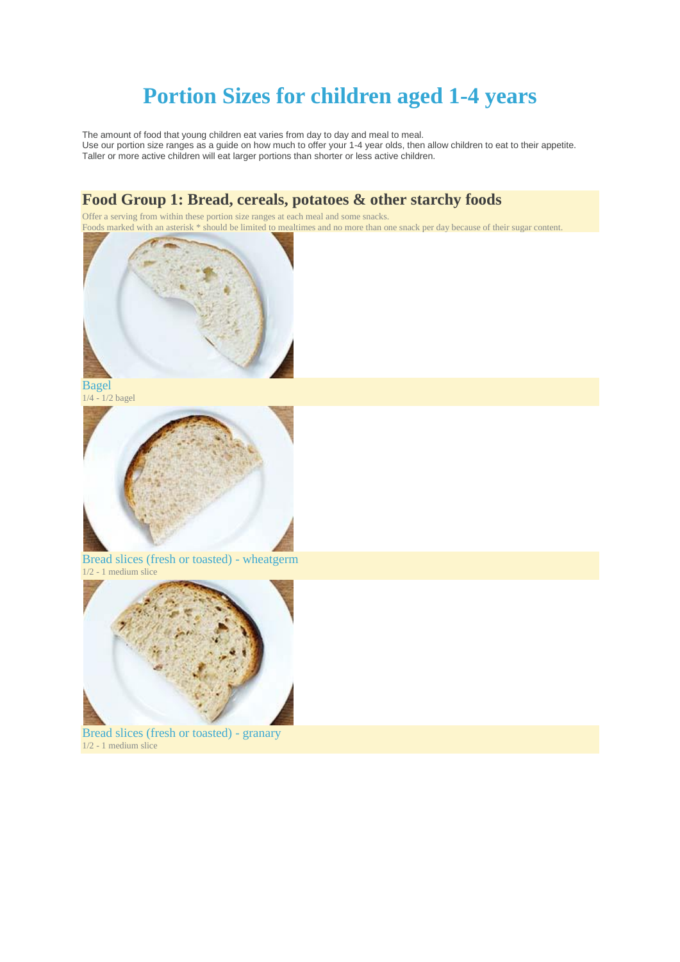# **Portion Sizes for children aged 1-4 years**

The amount of food that young children eat varies from day to day and meal to meal. Use our portion size ranges as a guide on how much to offer your 1-4 year olds, then allow children to eat to their appetite. Taller or more active children will eat larger portions than shorter or less active children.

### **Food Group 1: Bread, cereals, potatoes & other starchy foods**

Offer a serving from within these portion size ranges at each meal and some snacks. Foods marked with an asterisk \* should be limited to mealtimes and no more than one snack per day because of their sugar content.



Bagel 1/4 - 1/2 bagel



Bread slices (fresh or toasted) - wheatgerm 1/2 - 1 medium slice



Bread slices (fresh or toasted) - granary 1/2 - 1 medium slice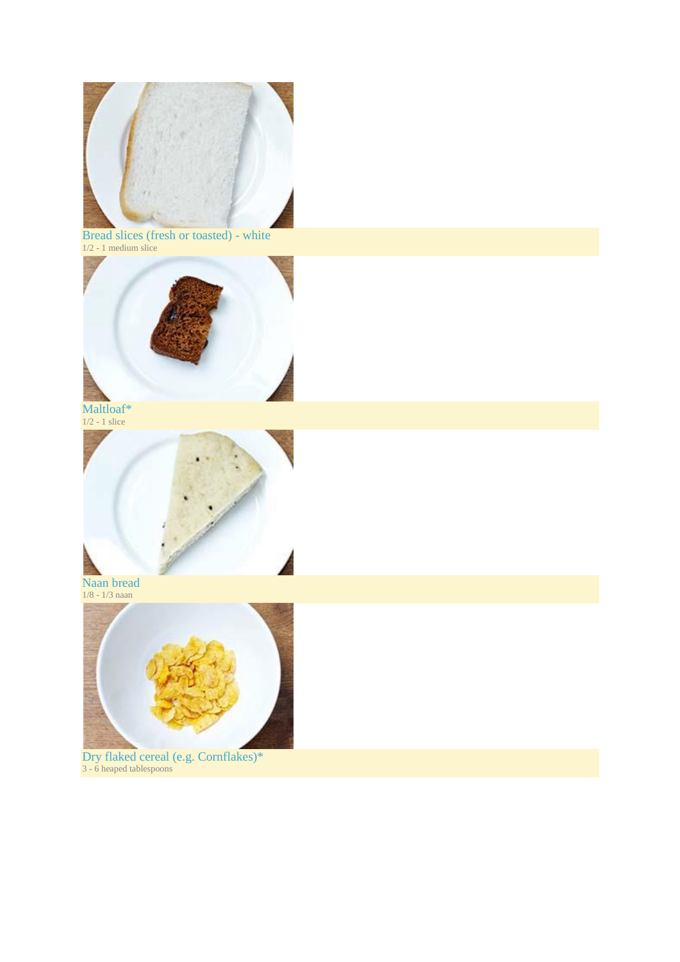

Bread slices (fresh or toasted) - white 1/2 - 1 medium slice



Maltloaf\* 1/2 - 1 slice



Naan bread 1/8 - 1/3 naan



Dry flaked cereal (e.g. Cornflakes)\* 3 - 6 heaped tablespoons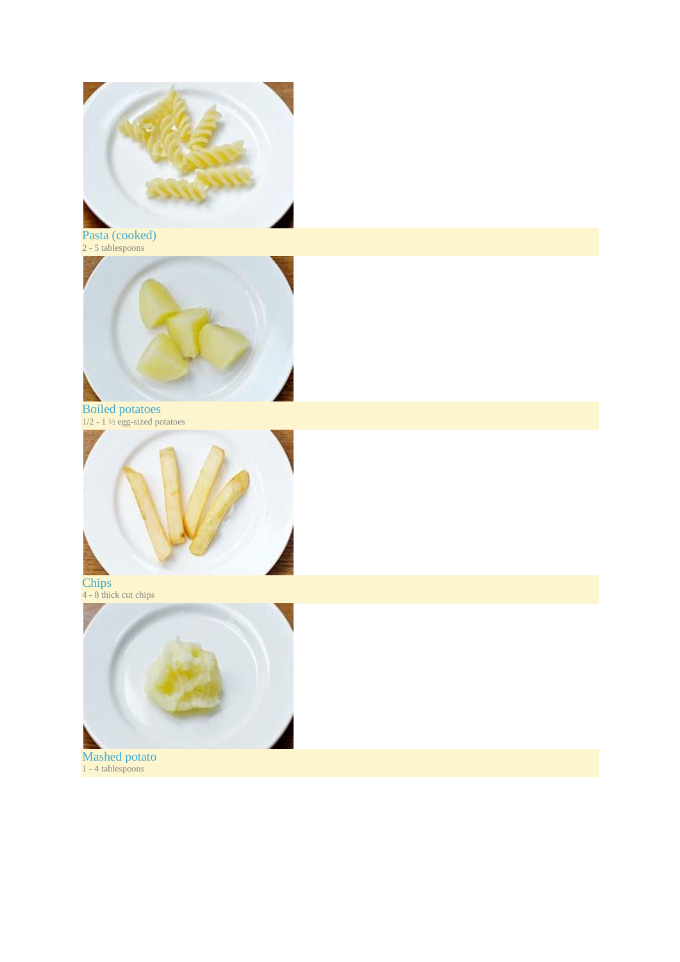

Pasta (cooked) 2 - 5 tablespoons



Boiled potatoes 1/2 - 1 ½ egg-sized potatoes



Chips 4 - 8 thick cut chips



Mashed potato 1 - 4 tablespoons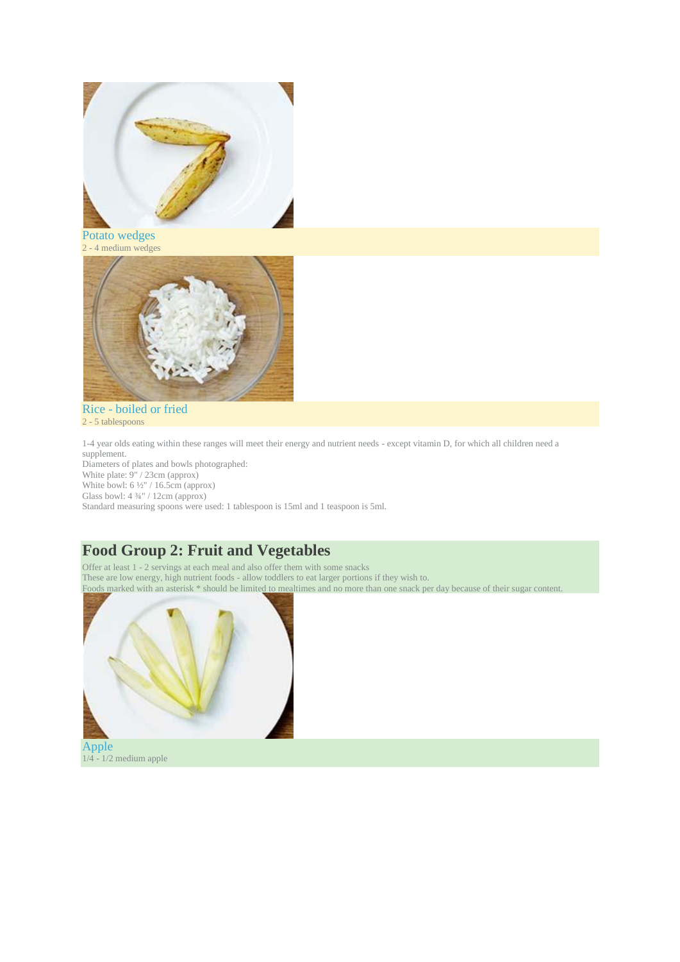

Potato wedges 2 - 4 medium wedges



Rice - boiled or fried 2 - 5 tablespoons

1-4 year olds eating within these ranges will meet their energy and nutrient needs - except vitamin D, for which all children need a supplement.

Diameters of plates and bowls photographed: White plate: 9" / 23cm (approx) White bowl:  $6\frac{1}{2}$  / 16.5cm (approx) Glass bowl:  $4\frac{3}{4}$ " / 12cm (approx)

Standard measuring spoons were used: 1 tablespoon is 15ml and 1 teaspoon is 5ml.

## **Food Group 2: Fruit and Vegetables**

Offer at least 1 - 2 servings at each meal and also offer them with some snacks These are low energy, high nutrient foods - allow toddlers to eat larger portions if they wish to. Foods marked with an asterisk \* should be limited to mealtimes and no more than one snack per day because of their sugar content.



 $1/4 - 1/2$  medium apple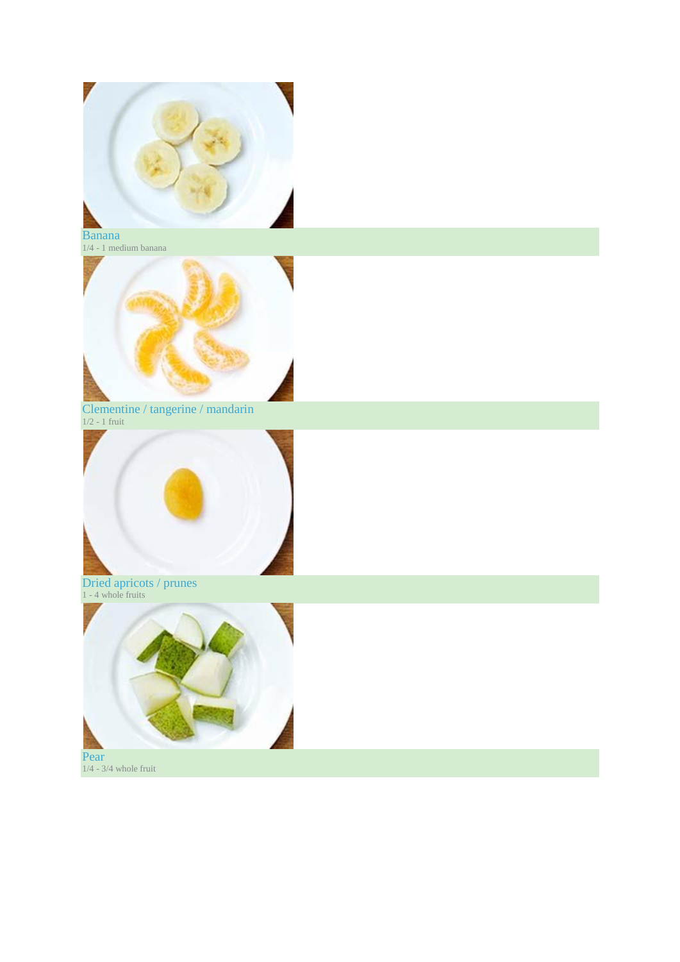

#### Banana  $1/4$  -  $1$  medium banana



Clementine / tangerine / mandarin 1/2 - 1 fruit



#### Dried apricots / prunes 1 - 4 whole fruits



1/4 - 3/4 whole fruit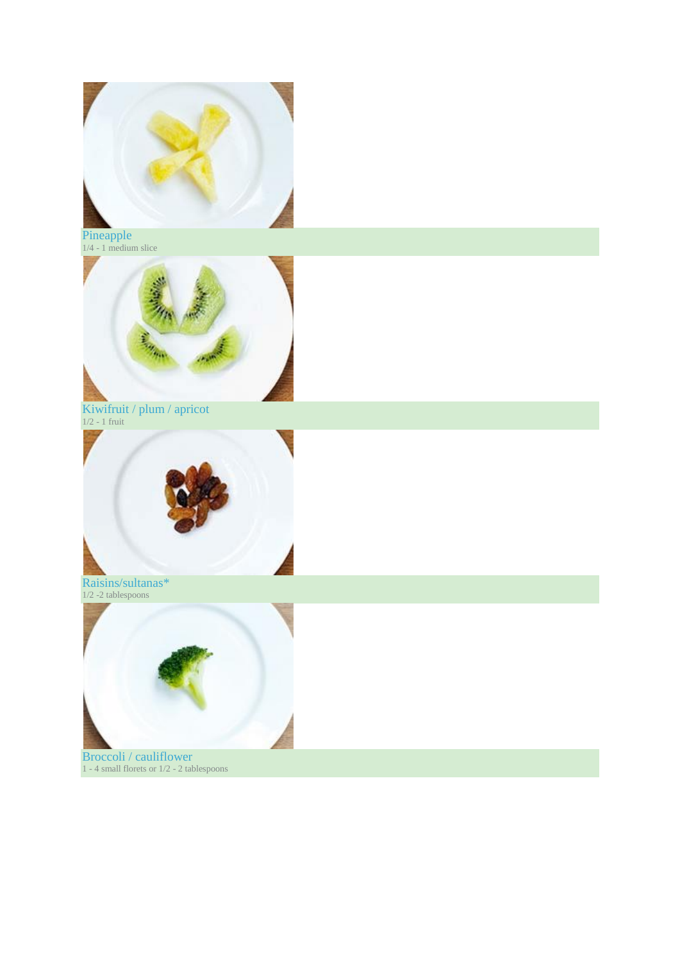

Pineapple 1/4 - 1 medium slice



Kiwifruit / plum / apricot 1/2 - 1 fruit



Raisins/sultanas\* 1/2 -2 tablespoons



Broccoli / cauliflower 1 - 4 small florets or 1/2 - 2 tablespoons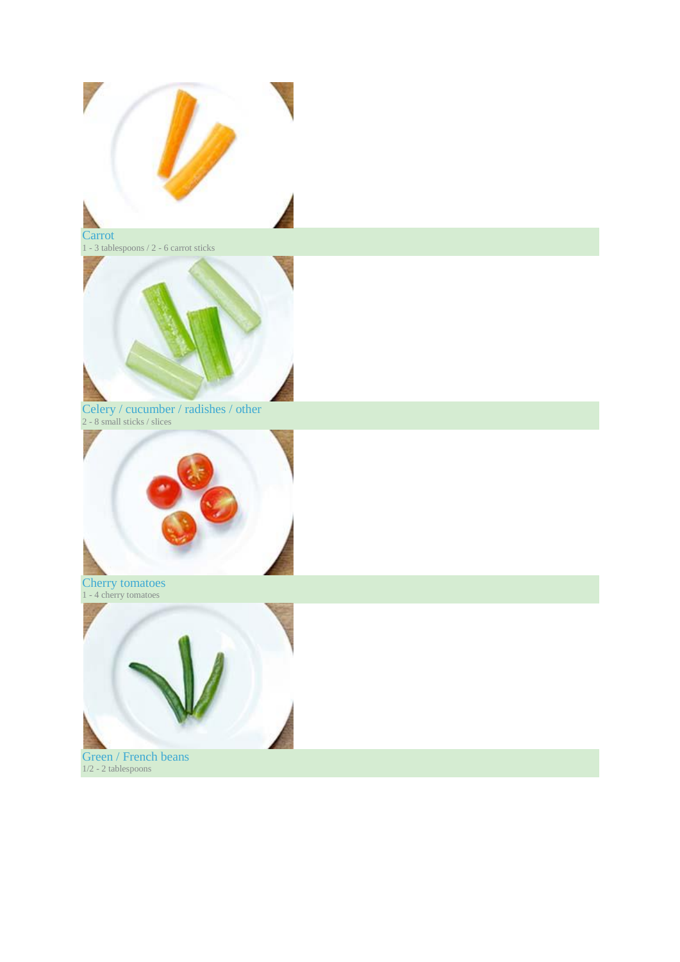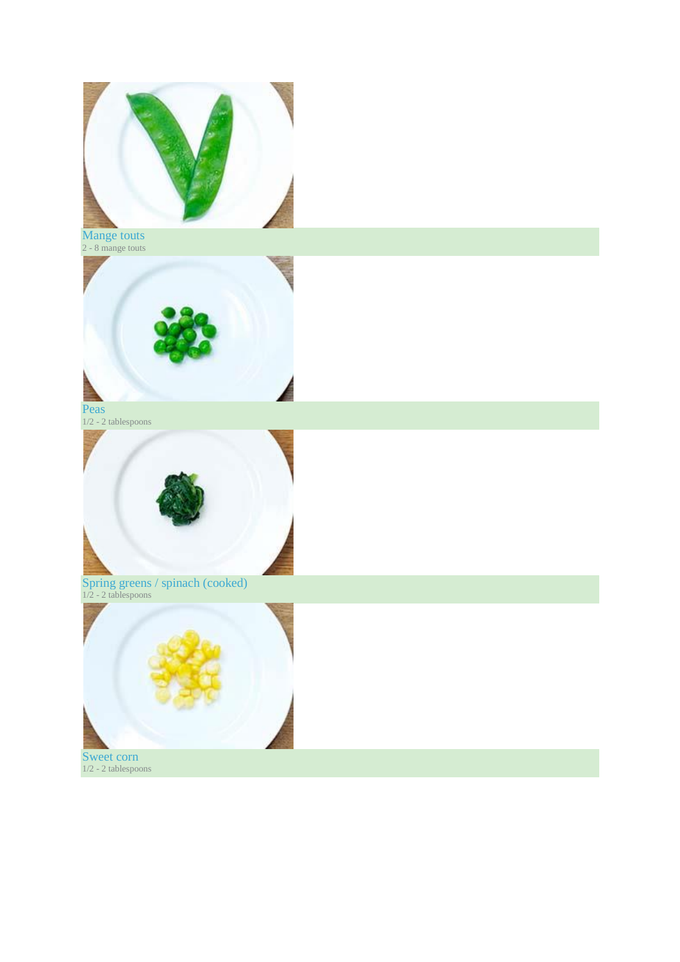

Mange touts 2 - 8 mange touts



Peas 1/2 - 2 tablespoons



Spring greens / spinach (cooked) 1/2 - 2 tablespoons



Sweet corn 1/2 - 2 tablespoons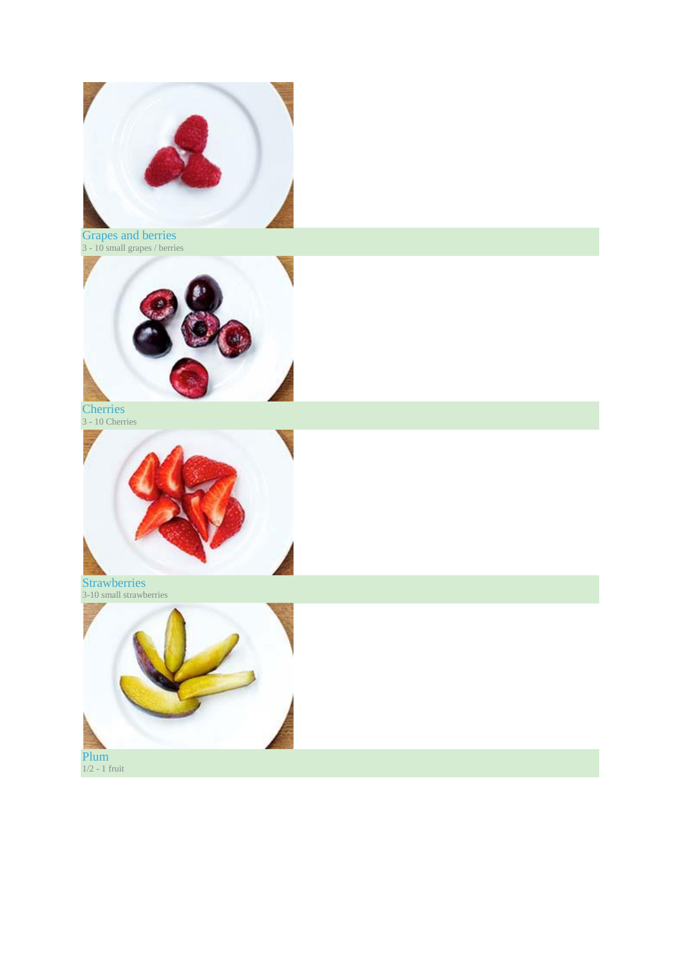

Grapes and berries 3 - 10 small grapes / berries



**Cherries** 3 - 10 Cherries



Strawberries 3-10 small strawberries



1/2 - 1 fruit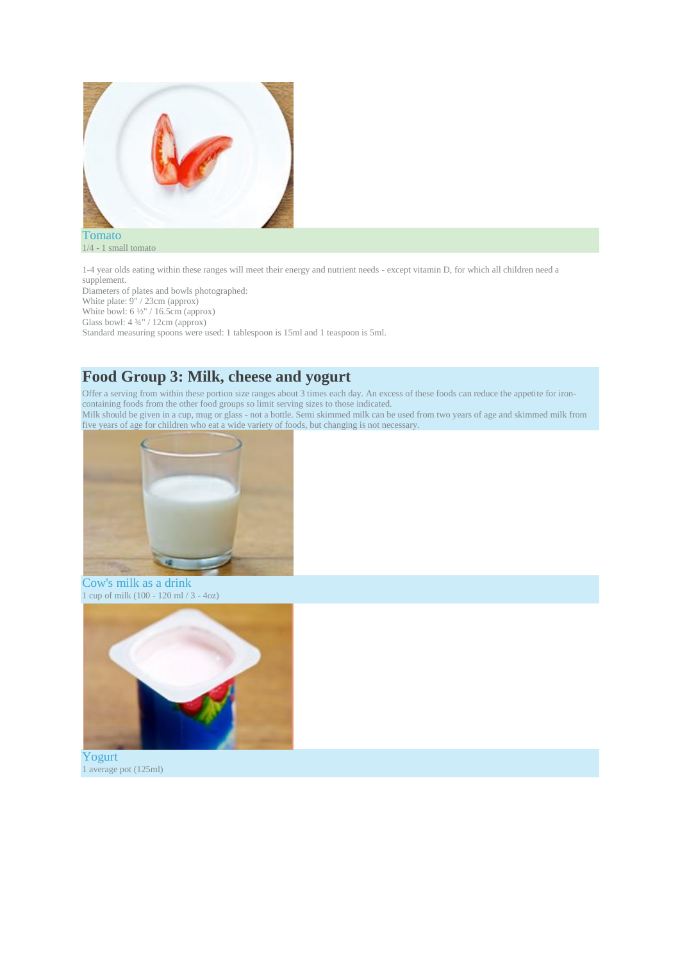

1/4 - 1 small tomato

1-4 year olds eating within these ranges will meet their energy and nutrient needs - except vitamin D, for which all children need a supplement.

Diameters of plates and bowls photographed: White plate: 9" / 23cm (approx) White bowl: 6 ½" / 16.5cm (approx) Glass bowl: 4 ¾" / 12cm (approx)

Standard measuring spoons were used: 1 tablespoon is 15ml and 1 teaspoon is 5ml.

### **Food Group 3: Milk, cheese and yogurt**

Offer a serving from within these portion size ranges about 3 times each day. An excess of these foods can reduce the appetite for ironcontaining foods from the other food groups so limit serving sizes to those indicated. Milk should be given in a cup, mug or glass - not a bottle. Semi skimmed milk can be used from two years of age and skimmed milk from five years of age for children who eat a wide variety of foods, but changing is not necessary.



Cow's milk as a drink 1 cup of milk (100 - 120 ml / 3 - 4oz)



Yogurt 1 average pot (125ml)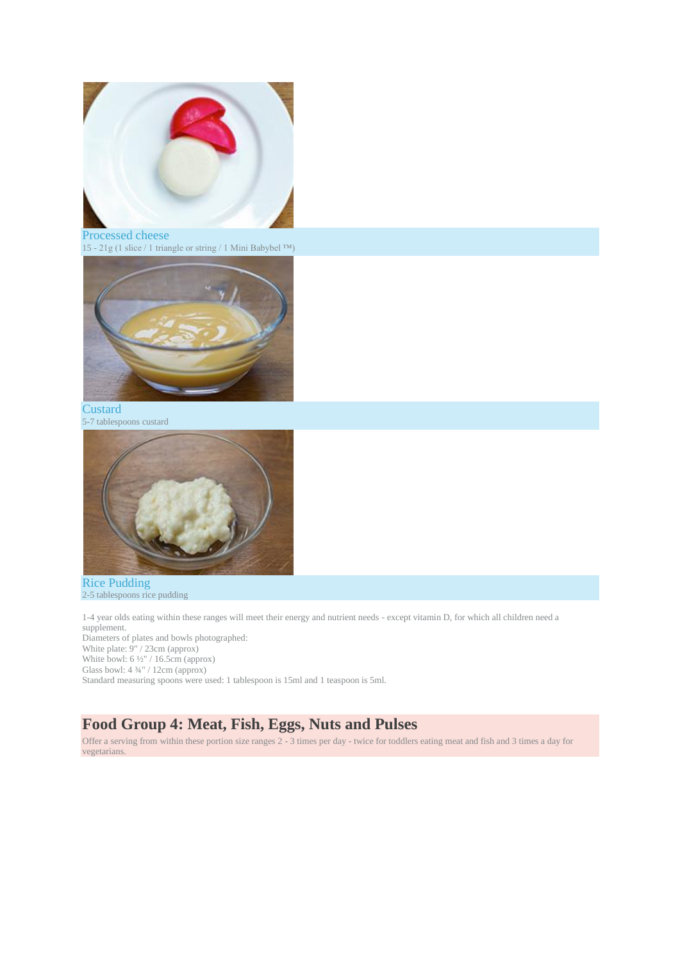

Processed cheese 15 - 21g (1 slice / 1 triangle or string / 1 Mini Babybel ™)



**Custard** 5-7 tablespoons custard



Rice Pudding 2-5 tablespoons rice pudding

1-4 year olds eating within these ranges will meet their energy and nutrient needs - except vitamin D, for which all children need a supplement. Diameters of plates and bowls photographed: White plate: 9" / 23cm (approx) White bowl: 6 ½" / 16.5cm (approx)

Glass bowl: 4 ¾" / 12cm (approx)

Standard measuring spoons were used: 1 tablespoon is 15ml and 1 teaspoon is 5ml.

### **Food Group 4: Meat, Fish, Eggs, Nuts and Pulses**

Offer a serving from within these portion size ranges 2 - 3 times per day - twice for toddlers eating meat and fish and 3 times a day for vegetarians.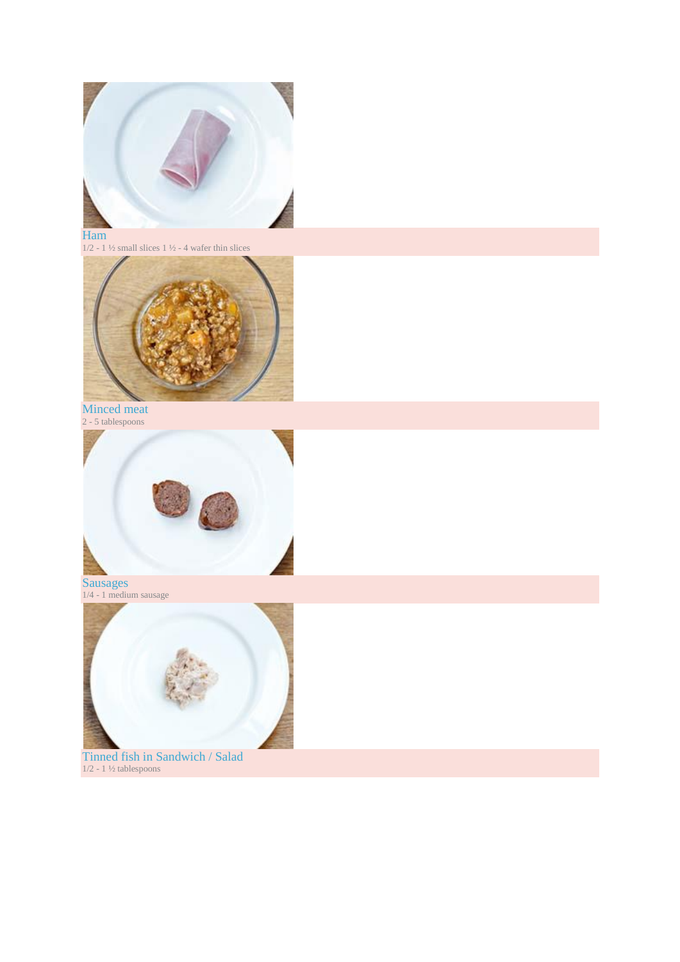

Ham 1/2 - 1 ½ small slices 1 ½ - 4 wafer thin slices



Minced meat 2 - 5 tablespoons



Sausages 1/4 - 1 medium sausage



Tinned fish in Sandwich / Salad 1/2 - 1 ½ tablespoons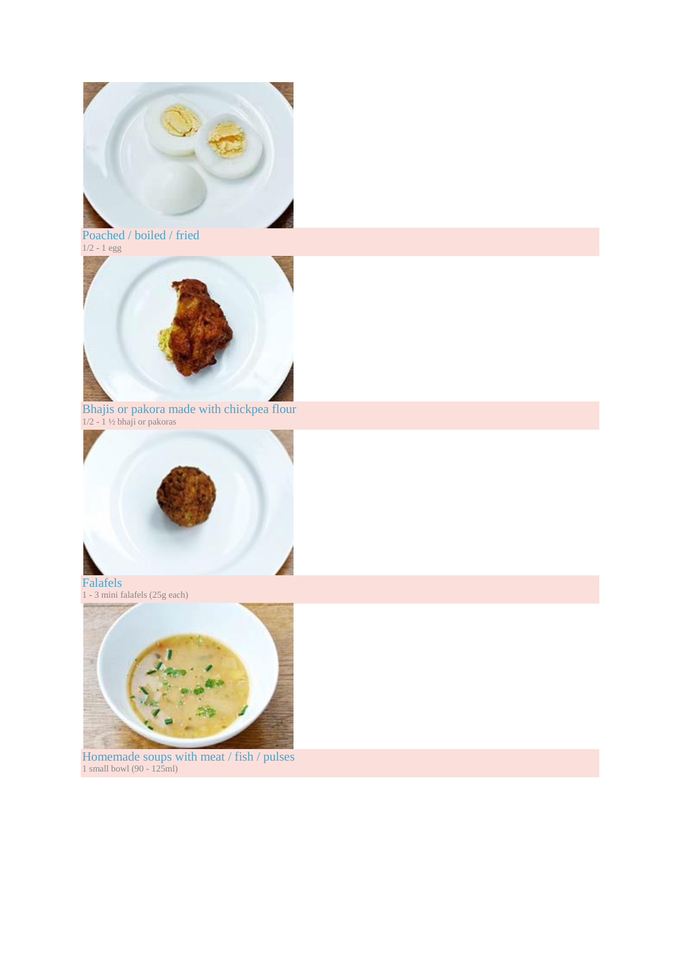

Poached / boiled / fried 1/2 - 1 egg



Bhajis or pakora made with chickpea flour 1/2 - 1 ½ bhaji or pakoras



1 - 3 mini falafels (25g each)



Homemade soups with meat / fish / pulses 1 small bowl (90 - 125ml)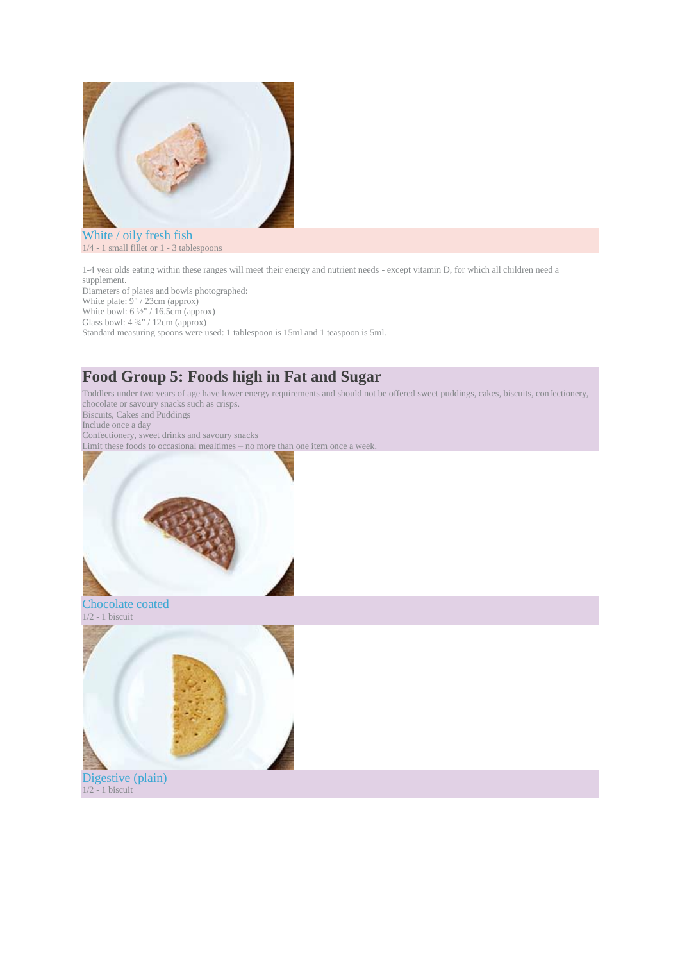

White / oily fresh fish 1/4 - 1 small fillet or 1 - 3 tablespoons

1-4 year olds eating within these ranges will meet their energy and nutrient needs - except vitamin D, for which all children need a supplement. Diameters of plates and bowls photographed:

White plate: 9" / 23cm (approx)

White bowl: 6 ½" / 16.5cm (approx) Glass bowl: 4 ¾" / 12cm (approx)

Standard measuring spoons were used: 1 tablespoon is 15ml and 1 teaspoon is 5ml.

# **Food Group 5: Foods high in Fat and Sugar**

Toddlers under two years of age have lower energy requirements and should not be offered sweet puddings, cakes, biscuits, confectionery, chocolate or savoury snacks such as crisps. Biscuits, Cakes and Puddings

Include once a day

Confectionery, sweet drinks and savoury snacks Limit these foods to occasional mealtimes – no more than one item once a week.

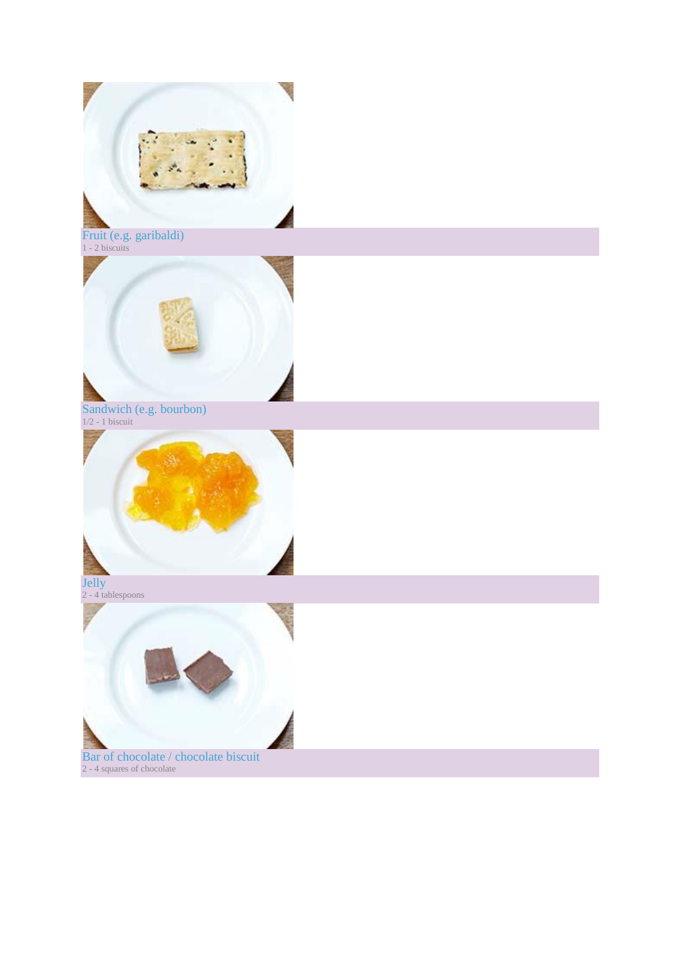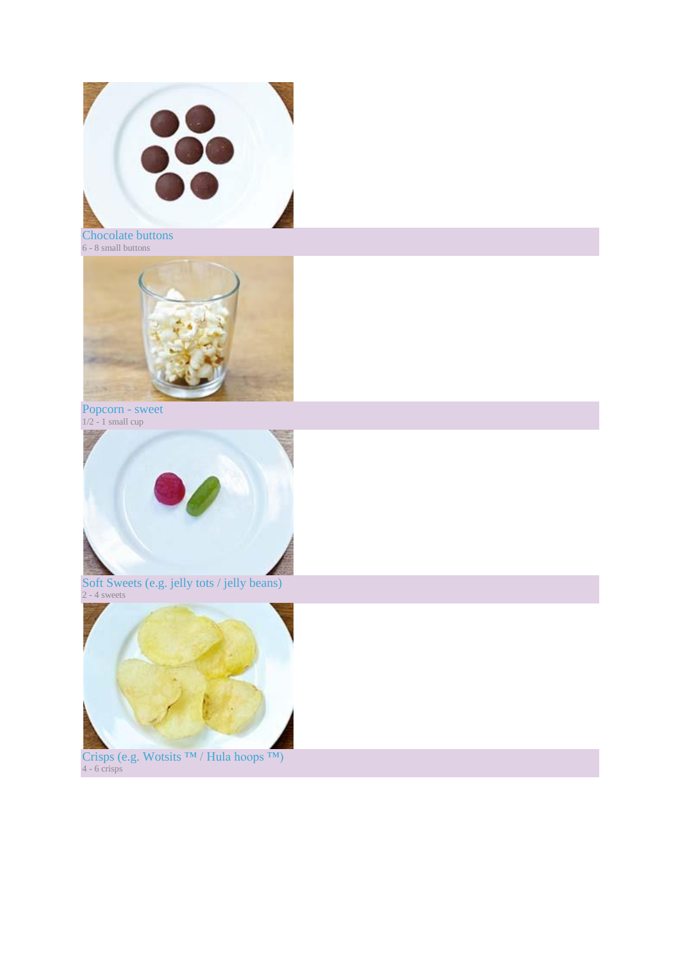

Chocolate buttons 6 - 8 small buttons



Popcorn - sweet  $1/2 - 1$  small cup



Soft Sweets (e.g. jelly tots / jelly beans) 2 - 4 sweets



Crisps (e.g. Wotsits ™ / Hula hoops ™) 4 - 6 crisps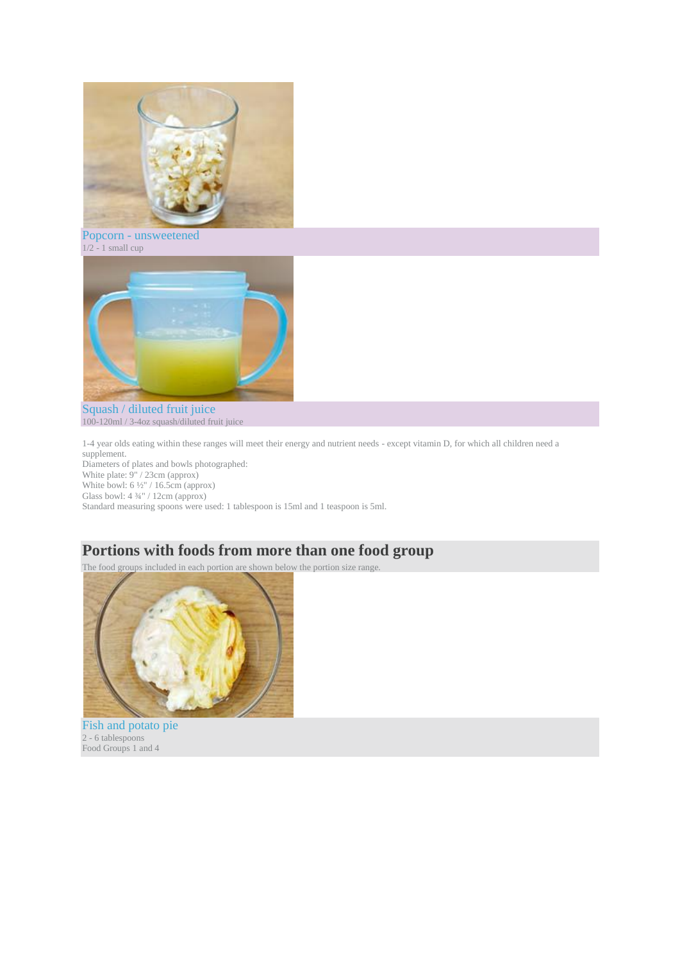

Popcorn - unsweetened  $1/2 - 1$  small cup



Squash / diluted fruit juice 100-120ml / 3-4oz squash/diluted fruit juice

1-4 year olds eating within these ranges will meet their energy and nutrient needs - except vitamin D, for which all children need a supplement.

Diameters of plates and bowls photographed: White plate: 9" / 23cm (approx) White bowl: 6 ½" / 16.5cm (approx) Glass bowl: 4 ¾" / 12cm (approx) Standard measuring spoons were used: 1 tablespoon is 15ml and 1 teaspoon is 5ml.

### **Portions with foods from more than one food group**

The food groups included in each portion are shown below the portion size range.



Fish and potato pie 2 - 6 tablespoons Food Groups 1 and 4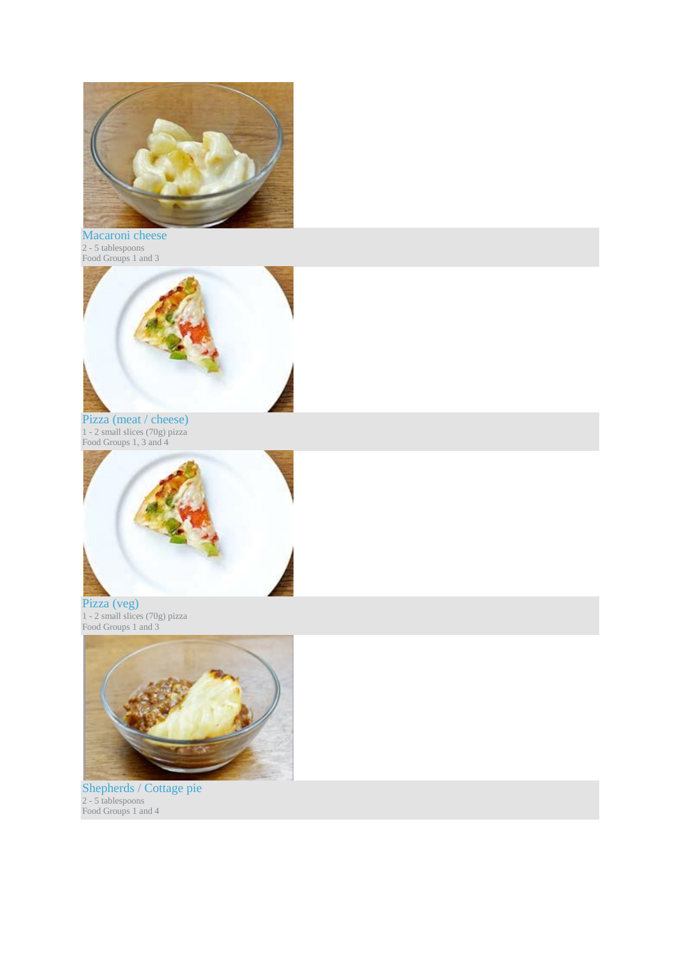

Macaroni cheese 2 - 5 tablespoons Food Groups 1 and 3



Pizza (meat / cheese) 1 - 2 small slices (70g) pizza Food Groups 1, 3 and 4



Pizza (veg) 1 - 2 small slices (70g) pizza Food Groups 1 and 3



Shepherds / Cottage pie 2 - 5 tablespoons Food Groups 1 and 4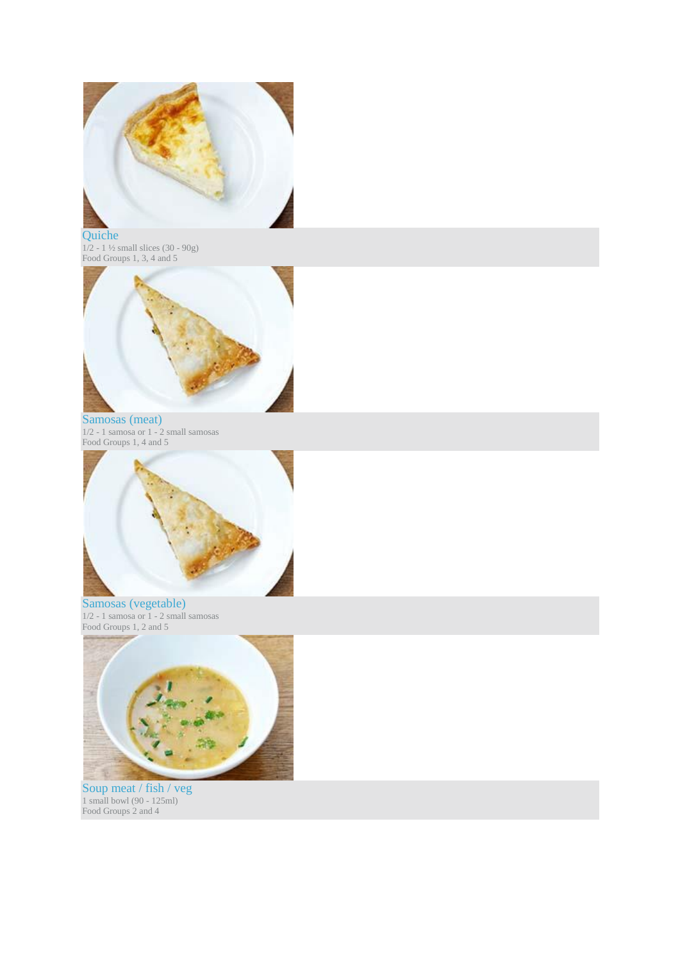

Quiche  $1/2 - 1$   $\frac{1}{2}$  small slices (30 - 90g) Food Groups 1, 3, 4 and 5



Samosas (meat) 1/2 - 1 samosa or 1 - 2 small samosas Food Groups 1, 4 and 5



Samosas (vegetable) 1/2 - 1 samosa or 1 - 2 small samosas Food Groups 1, 2 and 5



Soup meat / fish / veg 1 small bowl (90 - 125ml) Food Groups 2 and 4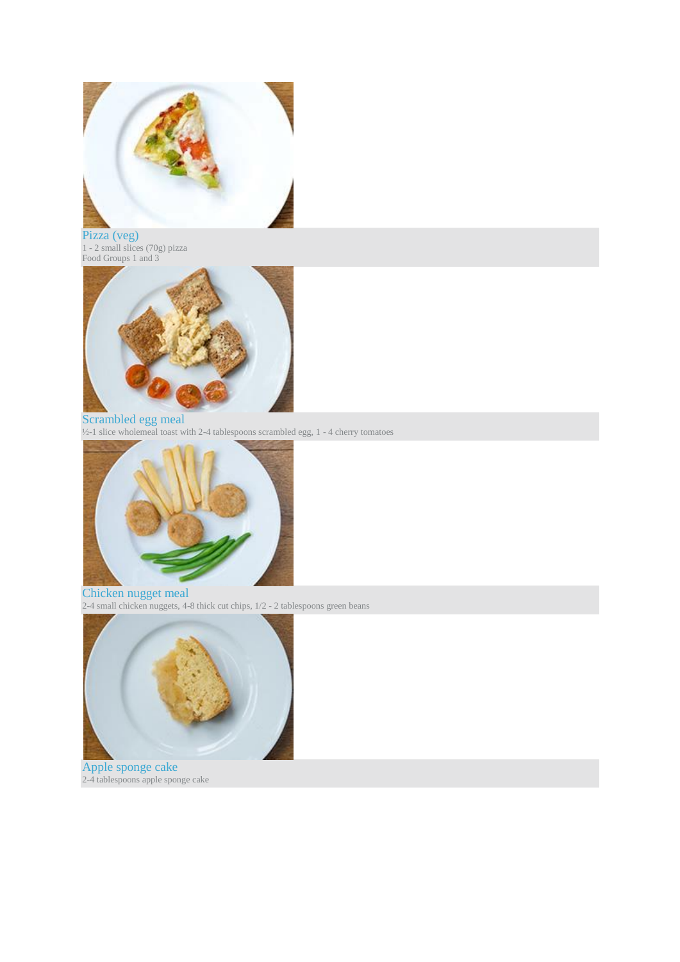

Pizza (veg) 1 - 2 small slices (70g) pizza Food Groups 1 and 3



### Scrambled egg meal

 $\frac{1}{2}$ -1 slice wholemeal toast with 2-4 tablespoons scrambled egg, 1 - 4 cherry tomatoes



Chicken nugget meal 2-4 small chicken nuggets, 4-8 thick cut chips, 1/2 - 2 tablespoons green beans



Apple sponge cake 2-4 tablespoons apple sponge cake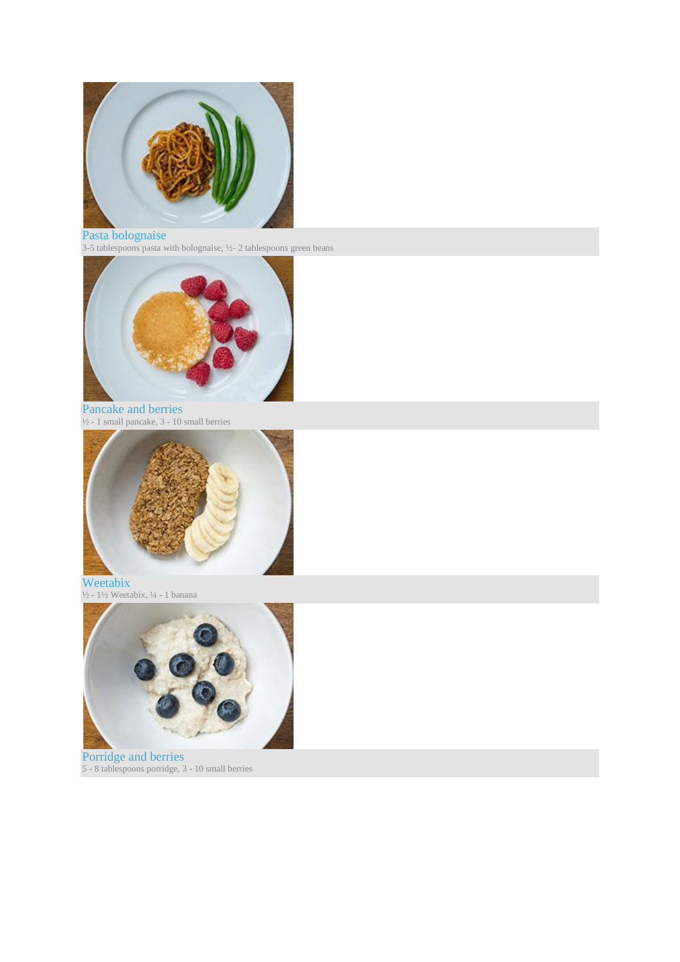

#### Pasta bolognaise

3-5 tablespoons pasta with bolognaise,  $\frac{1}{2}$  2 tablespoons green beans



Pancake and berries ½ - 1 small pancake, 3 - 10 small berries



Weetabix  $\frac{1}{2}$  -  $\frac{1}{2}$  Weetabix,  $\frac{1}{4}$  - 1 banana



Porridge and berries 5 - 8 tablespoons porridge, 3 - 10 small berries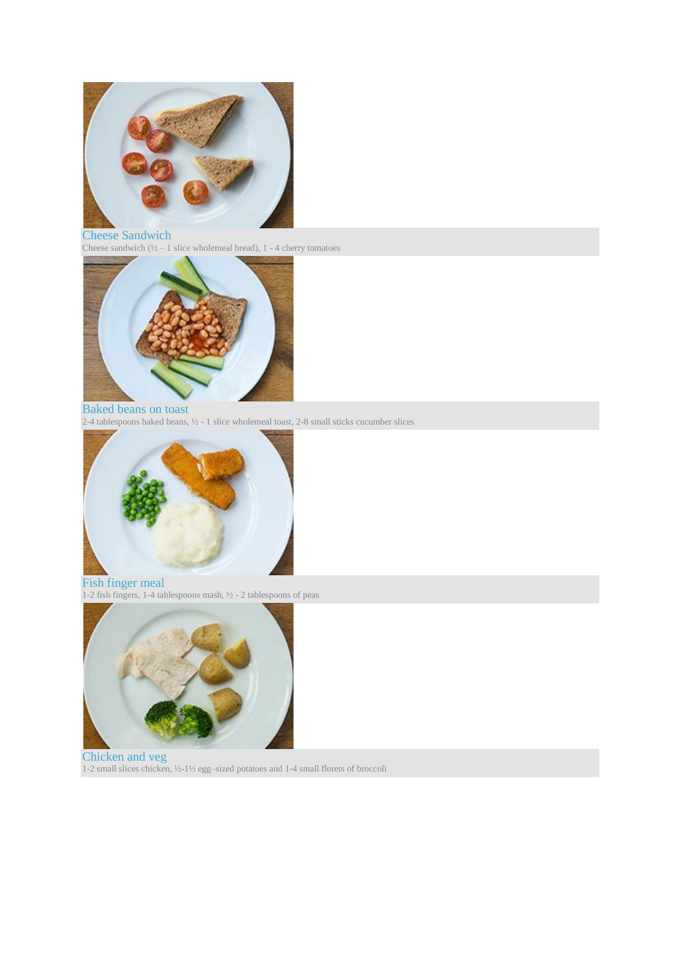

### Cheese Sandwich

Cheese sandwich  $(\frac{1}{2} - 1)$  slice wholemeal bread), 1 - 4 cherry tomatoes



Baked beans on toast 2-4 tablespoons baked beans, ½ - 1 slice wholemeal toast, 2-8 small sticks cucumber slices



#### Fish finger meal 1-2 fish fingers, 1-4 tablespoons mash, ½ - 2 tablespoons of peas



Chicken and veg 1-2 small slices chicken, ½-1½ egg–sized potatoes and 1-4 small florets of broccoli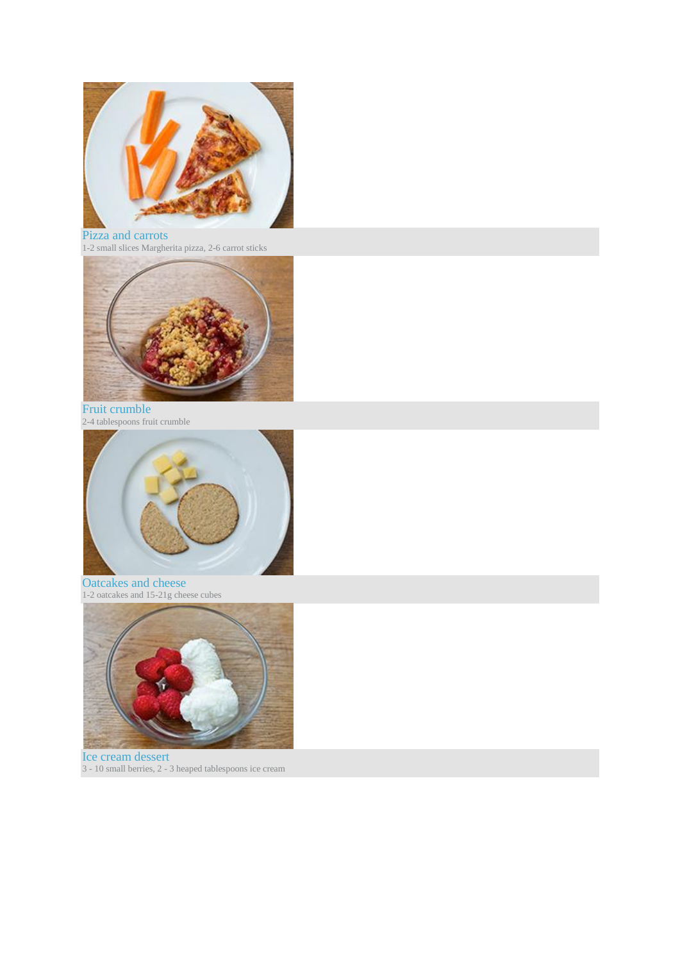

### Pizza and carrots

1-2 small slices Margherita pizza, 2-6 carrot sticks



Fruit crumble 2-4 tablespoons fruit crumble



Oatcakes and cheese 1-2 oatcakes and 15-21g cheese cubes



Ice cream dessert 3 - 10 small berries, 2 - 3 heaped tablespoons ice cream